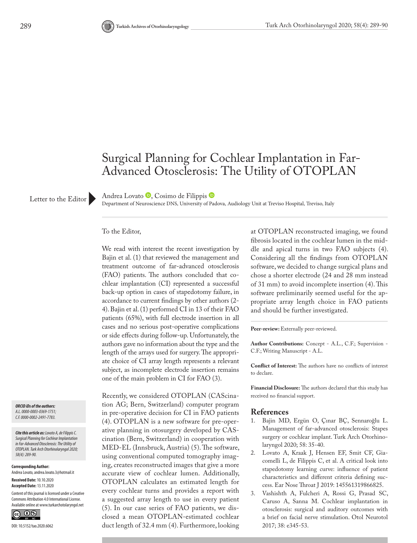# Surgical Planning for Cochlear Implantation in Far-Advanced Otosclerosis: The Utility of OTOPLAN

Letter to the Editor

AndreaLovato <sup>D</sup>, Cosimo de Filippis D

Department of Neuroscience DNS, University of Padova, Audiology Unit at Treviso Hospital, Treviso, Italy

#### To the Editor,

We read with interest the recent investigation by Bajin et al. (1) that reviewed the management and treatment outcome of far-advanced otosclerosis (FAO) patients. The authors concluded that cochlear implantation (CI) represented a successful back-up option in cases of stapedotomy failure, in accordance to current findings by other authors (2- 4). Bajin et al. (1) performed CI in 13 of their FAO patients (65%), with full electrode insertion in all cases and no serious post-operative complications or side effects during follow-up. Unfortunately, the authors gave no information about the type and the length of the arrays used for surgery. The appropriate choice of CI array length represents a relevant subject, as incomplete electrode insertion remains one of the main problem in CI for FAO (3).

*ORCID iDs of the authors: A.L. 0000-0003-0369-1751; C.F. 0000-0002-2491-7783.*

*Cite this article as: Lovato A, de Filippis C. Surgical Planning for Cochlear Implantation in Far-Advanced Otosclerosis: The Utility of OTOPLAN. Turk Arch Otorhinolaryngol 2020; 58(4): 289-90.*

**Corresponding Author:**  Andrea Lovato, andrea.lovato.3@hotmail.it

**Received Date:** 10.10.2020 **Accepted Date:** 13.11.2020

Content of this journal is licensed under a Creative Commons Attribution 4.0 International License. Available online at www.turkarchotolaryngol.net



Recently, we considered OTOPLAN (CAScination AG; Bern, Switzerland) computer program in pre-operative decision for CI in FAO patients (4). OTOPLAN is a new software for pre-operative planning in otosurgery developed by CAScination (Bern, Switzerland) in cooperation with MED-EL (Innsbruck, Austria) (5). The software, using conventional computed tomography imaging, creates reconstructed images that give a more accurate view of cochlear lumen. Additionally, OTOPLAN calculates an estimated length for every cochlear turns and provides a report with a suggested array length to use in every patient (5). In our case series of FAO patients, we disclosed a mean OTOPLAN-estimated cochlear duct length of 32.4 mm (4). Furthermore, looking at OTOPLAN reconstructed imaging, we found fibrosis located in the cochlear lumen in the middle and apical turns in two FAO subjects (4). Considering all the findings from OTOPLAN software, we decided to change surgical plans and chose a shorter electrode (24 and 28 mm instead of 31 mm) to avoid incomplete insertion (4). This software preliminarily seemed useful for the appropriate array length choice in FAO patients and should be further investigated.

Peer-review: Externally peer-reviewed.

**Author Contributions:** Concept - A.L., C.F.; Supervision - C.F.; Writing Manuscript - A.L.

**Conflict of Interest:** The authors have no conflicts of interest to declare.

**Financial Disclosure:** The authors declared that this study has received no financial support.

# **References**<br>1. Baiin MD

- 1. Bajin MD, Ergün O, Çınar BÇ, Sennaroğlu L. Management of far-advanced otosclerosis: Stapes surgery or cochlear implant. Turk Arch Otorhinolaryngol 2020; 58: 35-40.
- 2. Lovato A, Kraak J, Hensen EF, Smit CF, Giacomelli L, de Filippis C, et al. A critical look into stapedotomy learning curve: influence of patient characteristics and different criteria defining success. Ear Nose Throat J 2019: 145561319866825.
- 3. Vashishth A, Fulcheri A, Rossi G, Prasad SC, Caruso A, Sanna M. Cochlear implantation in otosclerosis: surgical and auditory outcomes with a brief on facial nerve stimulation. Otol Neurotol 2017; 38: e345-53.